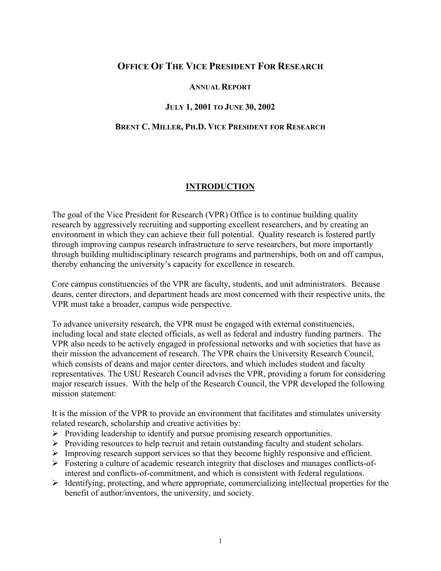# **OFFICE OF THE VICE PRESIDENT FOR RESEARCH**

#### **ANNUAL REPORT**

#### **JULY 1, 2001 TO JUNE 30, 2002**

#### **BRENT C. MILLER, PH.D. VICE PRESIDENT FOR RESEARCH**

#### **INTRODUCTION**

The goal of the Vice President for Research (VPR) Office is to continue building quality research by aggressively recruiting and supporting excellent researchers, and by creating an environment in which they can achieve their full potential. Quality research is fostered partly through improving campus research infrastructure to serve researchers, but more importantly through building multidisciplinary research programs and partnerships, both on and off campus, thereby enhancing the university's capacity for excellence in research.

Core campus constituencies of the VPR are faculty, students, and unit administrators. Because deans, center directors, and department heads are most concerned with their respective units, the VPR must take a broader, campus wide perspective.

To advance university research, the VPR must be engaged with external constituencies, including local and state elected officials, as well as federal and industry funding partners. The VPR also needs to be actively engaged in professional networks and with societies that have as their mission the advancement of research. The VPR chairs the University Research Council, which consists of deans and major center directors, and which includes student and faculty representatives. The USU Research Council advises the VPR, providing a forum for considering major research issues. With the help of the Research Council, the VPR developed the following mission statement:

It is the mission of the VPR to provide an environment that facilitates and stimulates university related research, scholarship and creative activities by:

- $\triangleright$  Providing leadership to identify and pursue promising research opportunities.
- ¾ Providing resources to help recruit and retain outstanding faculty and student scholars.
- ¾ Improving research support services so that they become highly responsive and efficient.
- $\triangleright$  Fostering a culture of academic research integrity that discloses and manages conflicts-ofinterest and conflicts-of-commitment, and which is consistent with federal regulations.
- $\triangleright$  Identifying, protecting, and where appropriate, commercializing intellectual properties for the benefit of author/inventors, the university, and society.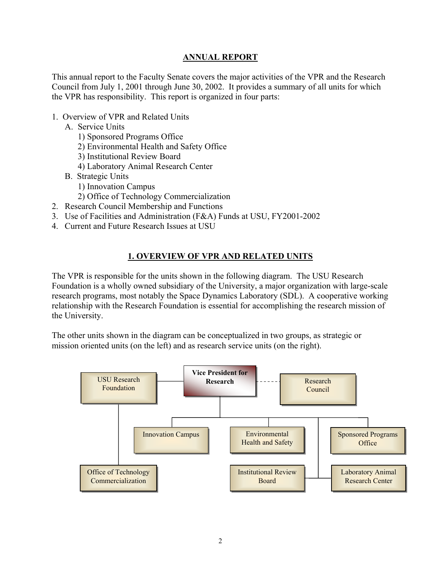### **ANNUAL REPORT**

This annual report to the Faculty Senate covers the major activities of the VPR and the Research Council from July 1, 2001 through June 30, 2002. It provides a summary of all units for which the VPR has responsibility. This report is organized in four parts:

- 1. Overview of VPR and Related Units
	- A. Service Units
		- 1) Sponsored Programs Office
		- 2) Environmental Health and Safety Office
		- 3) Institutional Review Board
		- 4) Laboratory Animal Research Center
	- B. Strategic Units
		- 1) Innovation Campus
		- 2) Office of Technology Commercialization
- 2. Research Council Membership and Functions
- 3. Use of Facilities and Administration (F&A) Funds at USU, FY2001-2002
- 4. Current and Future Research Issues at USU

## **1. OVERVIEW OF VPR AND RELATED UNITS**

The VPR is responsible for the units shown in the following diagram. The USU Research Foundation is a wholly owned subsidiary of the University, a major organization with large-scale research programs, most notably the Space Dynamics Laboratory (SDL). A cooperative working relationship with the Research Foundation is essential for accomplishing the research mission of the University.

The other units shown in the diagram can be conceptualized in two groups, as strategic or mission oriented units (on the left) and as research service units (on the right).

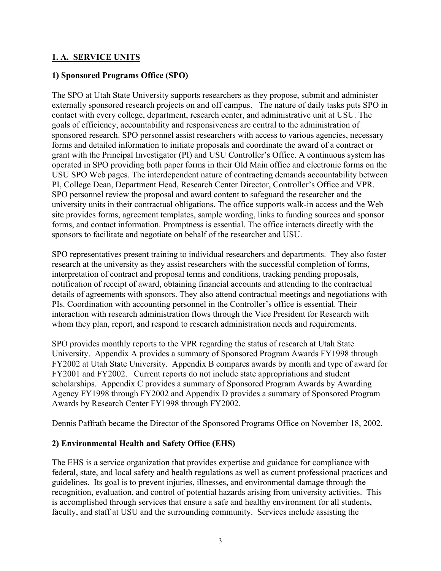### **1. A. SERVICE UNITS**

#### **1) Sponsored Programs Office (SPO)**

The SPO at Utah State University supports researchers as they propose, submit and administer externally sponsored research projects on and off campus. The nature of daily tasks puts SPO in contact with every college, department, research center, and administrative unit at USU. The goals of efficiency, accountability and responsiveness are central to the administration of sponsored research. SPO personnel assist researchers with access to various agencies, necessary forms and detailed information to initiate proposals and coordinate the award of a contract or grant with the Principal Investigator (PI) and USU Controller's Office. A continuous system has operated in SPO providing both paper forms in their Old Main office and electronic forms on the USU SPO Web pages. The interdependent nature of contracting demands accountability between PI, College Dean, Department Head, Research Center Director, Controller's Office and VPR. SPO personnel review the proposal and award content to safeguard the researcher and the university units in their contractual obligations. The office supports walk-in access and the Web site provides forms, agreement templates, sample wording, links to funding sources and sponsor forms, and contact information. Promptness is essential. The office interacts directly with the sponsors to facilitate and negotiate on behalf of the researcher and USU.

SPO representatives present training to individual researchers and departments. They also foster research at the university as they assist researchers with the successful completion of forms, interpretation of contract and proposal terms and conditions, tracking pending proposals, notification of receipt of award, obtaining financial accounts and attending to the contractual details of agreements with sponsors. They also attend contractual meetings and negotiations with PIs. Coordination with accounting personnel in the Controller's office is essential. Their interaction with research administration flows through the Vice President for Research with whom they plan, report, and respond to research administration needs and requirements.

SPO provides monthly reports to the VPR regarding the status of research at Utah State University. Appendix A provides a summary of Sponsored Program Awards FY1998 through FY2002 at Utah State University. Appendix B compares awards by month and type of award for FY2001 and FY2002. Current reports do not include state appropriations and student scholarships. Appendix C provides a summary of Sponsored Program Awards by Awarding Agency FY1998 through FY2002 and Appendix D provides a summary of Sponsored Program Awards by Research Center FY1998 through FY2002.

Dennis Paffrath became the Director of the Sponsored Programs Office on November 18, 2002.

## **2) Environmental Health and Safety Office (EHS)**

The EHS is a service organization that provides expertise and guidance for compliance with federal, state, and local safety and health regulations as well as current professional practices and guidelines. Its goal is to prevent injuries, illnesses, and environmental damage through the recognition, evaluation, and control of potential hazards arising from university activities. This is accomplished through services that ensure a safe and healthy environment for all students, faculty, and staff at USU and the surrounding community. Services include assisting the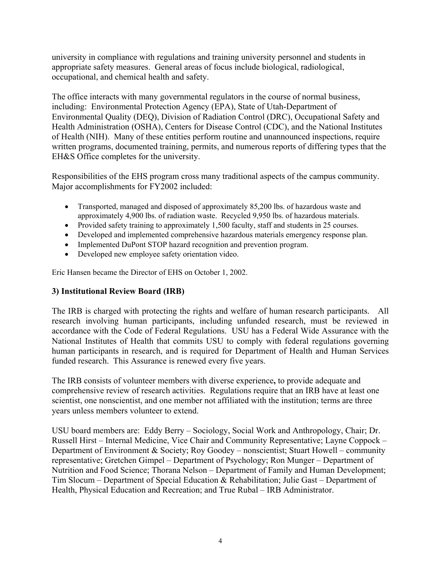university in compliance with regulations and training university personnel and students in appropriate safety measures. General areas of focus include biological, radiological, occupational, and chemical health and safety.

The office interacts with many governmental regulators in the course of normal business, including: Environmental Protection Agency (EPA), State of Utah-Department of Environmental Quality (DEQ), Division of Radiation Control (DRC), Occupational Safety and Health Administration (OSHA), Centers for Disease Control (CDC), and the National Institutes of Health (NIH). Many of these entities perform routine and unannounced inspections, require written programs, documented training, permits, and numerous reports of differing types that the EH&S Office completes for the university.

Responsibilities of the EHS program cross many traditional aspects of the campus community. Major accomplishments for FY2002 included:

- Transported, managed and disposed of approximately 85,200 lbs. of hazardous waste and approximately 4,900 lbs. of radiation waste. Recycled 9,950 lbs. of hazardous materials.
- Provided safety training to approximately 1,500 faculty, staff and students in 25 courses.
- Developed and implemented comprehensive hazardous materials emergency response plan.
- Implemented DuPont STOP hazard recognition and prevention program.
- Developed new employee safety orientation video.

Eric Hansen became the Director of EHS on October 1, 2002.

## **3) Institutional Review Board (IRB)**

The IRB is charged with protecting the rights and welfare of human research participants.All research involving human participants, including unfunded research, must be reviewed in accordance with the Code of Federal Regulations. USU has a Federal Wide Assurance with the National Institutes of Health that commits USU to comply with federal regulations governing human participants in research, and is required for Department of Health and Human Services funded research. This Assurance is renewed every five years.

The IRB consists of volunteer members with diverse experience**,** to provide adequate and comprehensive review of research activities. Regulations require that an IRB have at least one scientist, one nonscientist, and one member not affiliated with the institution; terms are three years unless members volunteer to extend.

USU board members are: Eddy Berry – Sociology, Social Work and Anthropology, Chair; Dr. Russell Hirst – Internal Medicine, Vice Chair and Community Representative; Layne Coppock – Department of Environment & Society; Roy Goodey – nonscientist; Stuart Howell – community representative; Gretchen Gimpel – Department of Psychology; Ron Munger – Department of Nutrition and Food Science; Thorana Nelson – Department of Family and Human Development; Tim Slocum – Department of Special Education & Rehabilitation; Julie Gast – Department of Health, Physical Education and Recreation; and True Rubal – IRB Administrator.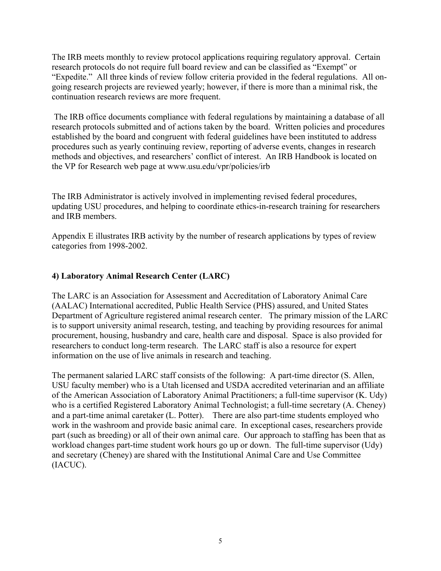The IRB meets monthly to review protocol applications requiring regulatory approval. Certain research protocols do not require full board review and can be classified as "Exempt" or "Expedite." All three kinds of review follow criteria provided in the federal regulations. All ongoing research projects are reviewed yearly; however, if there is more than a minimal risk, the continuation research reviews are more frequent.

 The IRB office documents compliance with federal regulations by maintaining a database of all research protocols submitted and of actions taken by the board. Written policies and procedures established by the board and congruent with federal guidelines have been instituted to address procedures such as yearly continuing review, reporting of adverse events, changes in research methods and objectives, and researchers' conflict of interest. An IRB Handbook is located on the VP for Research web page at www.usu.edu/vpr/policies/irb

The IRB Administrator is actively involved in implementing revised federal procedures, updating USU procedures, and helping to coordinate ethics-in-research training for researchers and IRB members.

Appendix E illustrates IRB activity by the number of research applications by types of review categories from 1998-2002.

## **4) Laboratory Animal Research Center (LARC)**

The LARC is an Association for Assessment and Accreditation of Laboratory Animal Care (AALAC) International accredited, Public Health Service (PHS) assured, and United States Department of Agriculture registered animal research center. The primary mission of the LARC is to support university animal research, testing, and teaching by providing resources for animal procurement, housing, husbandry and care, health care and disposal. Space is also provided for researchers to conduct long-term research. The LARC staff is also a resource for expert information on the use of live animals in research and teaching.

The permanent salaried LARC staff consists of the following: A part-time director (S. Allen, USU faculty member) who is a Utah licensed and USDA accredited veterinarian and an affiliate of the American Association of Laboratory Animal Practitioners; a full-time supervisor (K. Udy) who is a certified Registered Laboratory Animal Technologist; a full-time secretary (A. Cheney) and a part-time animal caretaker (L. Potter). There are also part-time students employed who work in the washroom and provide basic animal care. In exceptional cases, researchers provide part (such as breeding) or all of their own animal care. Our approach to staffing has been that as workload changes part-time student work hours go up or down. The full-time supervisor (Udy) and secretary (Cheney) are shared with the Institutional Animal Care and Use Committee (IACUC).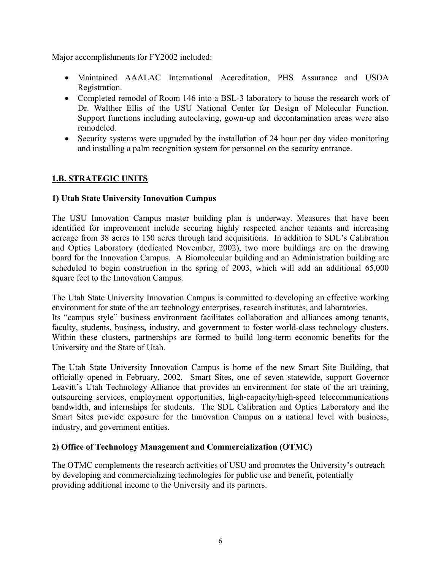Major accomplishments for FY2002 included:

- Maintained AAALAC International Accreditation, PHS Assurance and USDA Registration.
- Completed remodel of Room 146 into a BSL-3 laboratory to house the research work of Dr. Walther Ellis of the USU National Center for Design of Molecular Function. Support functions including autoclaving, gown-up and decontamination areas were also remodeled.
- Security systems were upgraded by the installation of 24 hour per day video monitoring and installing a palm recognition system for personnel on the security entrance.

# **1.B. STRATEGIC UNITS**

## **1) Utah State University Innovation Campus**

The USU Innovation Campus master building plan is underway. Measures that have been identified for improvement include securing highly respected anchor tenants and increasing acreage from 38 acres to 150 acres through land acquisitions. In addition to SDL's Calibration and Optics Laboratory (dedicated November, 2002), two more buildings are on the drawing board for the Innovation Campus. A Biomolecular building and an Administration building are scheduled to begin construction in the spring of 2003, which will add an additional 65,000 square feet to the Innovation Campus.

The Utah State University Innovation Campus is committed to developing an effective working environment for state of the art technology enterprises, research institutes, and laboratories. Its "campus style" business environment facilitates collaboration and alliances among tenants, faculty, students, business, industry, and government to foster world-class technology clusters. Within these clusters, partnerships are formed to build long-term economic benefits for the University and the State of Utah.

The Utah State University Innovation Campus is home of the new Smart Site Building, that officially opened in February, 2002. Smart Sites, one of seven statewide, support Governor Leavitt's Utah Technology Alliance that provides an environment for state of the art training, outsourcing services, employment opportunities, high-capacity/high-speed telecommunications bandwidth, and internships for students. The SDL Calibration and Optics Laboratory and the Smart Sites provide exposure for the Innovation Campus on a national level with business, industry, and government entities.

## **2) Office of Technology Management and Commercialization (OTMC)**

The OTMC complements the research activities of USU and promotes the University's outreach by developing and commercializing technologies for public use and benefit, potentially providing additional income to the University and its partners.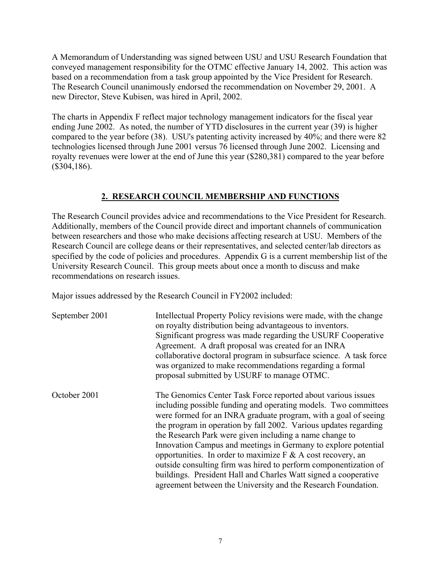A Memorandum of Understanding was signed between USU and USU Research Foundation that conveyed management responsibility for the OTMC effective January 14, 2002. This action was based on a recommendation from a task group appointed by the Vice President for Research. The Research Council unanimously endorsed the recommendation on November 29, 2001. A new Director, Steve Kubisen, was hired in April, 2002.

The charts in Appendix F reflect major technology management indicators for the fiscal year ending June 2002. As noted, the number of YTD disclosures in the current year (39) is higher compared to the year before (38). USU's patenting activity increased by 40%; and there were 82 technologies licensed through June 2001 versus 76 licensed through June 2002. Licensing and royalty revenues were lower at the end of June this year (\$280,381) compared to the year before (\$304,186).

# **2. RESEARCH COUNCIL MEMBERSHIP AND FUNCTIONS**

The Research Council provides advice and recommendations to the Vice President for Research. Additionally, members of the Council provide direct and important channels of communication between researchers and those who make decisions affecting research at USU. Members of the Research Council are college deans or their representatives, and selected center/lab directors as specified by the code of policies and procedures. Appendix G is a current membership list of the University Research Council. This group meets about once a month to discuss and make recommendations on research issues.

Major issues addressed by the Research Council in FY2002 included:

| September 2001 | Intellectual Property Policy revisions were made, with the change<br>on royalty distribution being advantageous to inventors.<br>Significant progress was made regarding the USURF Cooperative<br>Agreement. A draft proposal was created for an INRA<br>collaborative doctoral program in subsurface science. A task force<br>was organized to make recommendations regarding a formal<br>proposal submitted by USURF to manage OTMC.                                                                                                                                                                                                                                          |
|----------------|---------------------------------------------------------------------------------------------------------------------------------------------------------------------------------------------------------------------------------------------------------------------------------------------------------------------------------------------------------------------------------------------------------------------------------------------------------------------------------------------------------------------------------------------------------------------------------------------------------------------------------------------------------------------------------|
| October 2001   | The Genomics Center Task Force reported about various issues<br>including possible funding and operating models. Two committees<br>were formed for an INRA graduate program, with a goal of seeing<br>the program in operation by fall 2002. Various updates regarding<br>the Research Park were given including a name change to<br>Innovation Campus and meetings in Germany to explore potential<br>opportunities. In order to maximize $F \& A \cos t$ recovery, an<br>outside consulting firm was hired to perform componentization of<br>buildings. President Hall and Charles Watt signed a cooperative<br>agreement between the University and the Research Foundation. |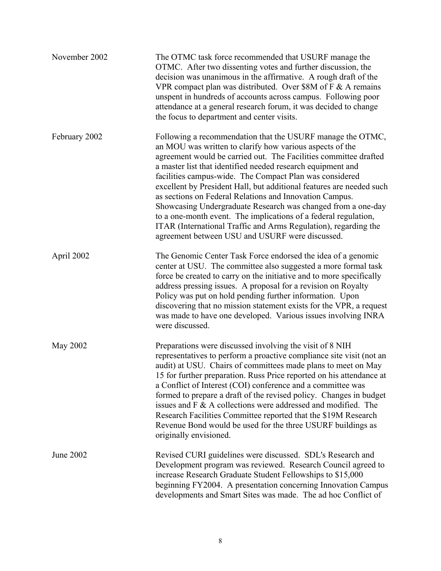| November 2002 | The OTMC task force recommended that USURF manage the<br>OTMC. After two dissenting votes and further discussion, the<br>decision was unanimous in the affirmative. A rough draft of the<br>VPR compact plan was distributed. Over \$8M of $F \& A$ remains<br>unspent in hundreds of accounts across campus. Following poor<br>attendance at a general research forum, it was decided to change<br>the focus to department and center visits.                                                                                                                                                                                                                                                                   |
|---------------|------------------------------------------------------------------------------------------------------------------------------------------------------------------------------------------------------------------------------------------------------------------------------------------------------------------------------------------------------------------------------------------------------------------------------------------------------------------------------------------------------------------------------------------------------------------------------------------------------------------------------------------------------------------------------------------------------------------|
| February 2002 | Following a recommendation that the USURF manage the OTMC,<br>an MOU was written to clarify how various aspects of the<br>agreement would be carried out. The Facilities committee drafted<br>a master list that identified needed research equipment and<br>facilities campus-wide. The Compact Plan was considered<br>excellent by President Hall, but additional features are needed such<br>as sections on Federal Relations and Innovation Campus.<br>Showcasing Undergraduate Research was changed from a one-day<br>to a one-month event. The implications of a federal regulation,<br>ITAR (International Traffic and Arms Regulation), regarding the<br>agreement between USU and USURF were discussed. |
| April 2002    | The Genomic Center Task Force endorsed the idea of a genomic<br>center at USU. The committee also suggested a more formal task<br>force be created to carry on the initiative and to more specifically<br>address pressing issues. A proposal for a revision on Royalty<br>Policy was put on hold pending further information. Upon<br>discovering that no mission statement exists for the VPR, a request<br>was made to have one developed. Various issues involving INRA<br>were discussed.                                                                                                                                                                                                                   |
| May 2002      | Preparations were discussed involving the visit of 8 NIH<br>representatives to perform a proactive compliance site visit (not an<br>audit) at USU. Chairs of committees made plans to meet on May<br>15 for further preparation. Russ Price reported on his attendance at<br>a Conflict of Interest (COI) conference and a committee was<br>formed to prepare a draft of the revised policy. Changes in budget<br>issues and F & A collections were addressed and modified. The<br>Research Facilities Committee reported that the \$19M Research<br>Revenue Bond would be used for the three USURF buildings as<br>originally envisioned.                                                                       |
| June 2002     | Revised CURI guidelines were discussed. SDL's Research and<br>Development program was reviewed. Research Council agreed to<br>increase Research Graduate Student Fellowships to \$15,000<br>beginning FY2004. A presentation concerning Innovation Campus<br>developments and Smart Sites was made. The ad hoc Conflict of                                                                                                                                                                                                                                                                                                                                                                                       |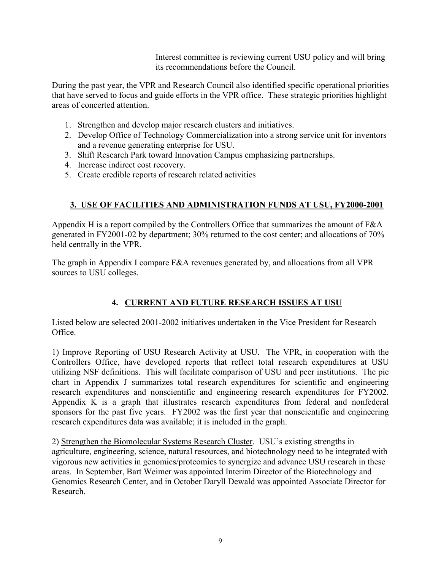Interest committee is reviewing current USU policy and will bring its recommendations before the Council.

During the past year, the VPR and Research Council also identified specific operational priorities that have served to focus and guide efforts in the VPR office. These strategic priorities highlight areas of concerted attention.

- 1. Strengthen and develop major research clusters and initiatives.
- 2. Develop Office of Technology Commercialization into a strong service unit for inventors and a revenue generating enterprise for USU.
- 3. Shift Research Park toward Innovation Campus emphasizing partnerships.
- 4. Increase indirect cost recovery.
- 5. Create credible reports of research related activities

# **3. USE OF FACILITIES AND ADMINISTRATION FUNDS AT USU, FY2000-2001**

Appendix H is a report compiled by the Controllers Office that summarizes the amount of F&A generated in FY2001-02 by department; 30% returned to the cost center; and allocations of 70% held centrally in the VPR.

The graph in Appendix I compare F&A revenues generated by, and allocations from all VPR sources to USU colleges.

# **4. CURRENT AND FUTURE RESEARCH ISSUES AT USU**

Listed below are selected 2001-2002 initiatives undertaken in the Vice President for Research Office.

1) Improve Reporting of USU Research Activity at USU. The VPR, in cooperation with the Controllers Office, have developed reports that reflect total research expenditures at USU utilizing NSF definitions. This will facilitate comparison of USU and peer institutions. The pie chart in Appendix J summarizes total research expenditures for scientific and engineering research expenditures and nonscientific and engineering research expenditures for FY2002. Appendix  $\overrightarrow{K}$  is a graph that illustrates research expenditures from federal and nonfederal sponsors for the past five years. FY2002 was the first year that nonscientific and engineering research expenditures data was available; it is included in the graph.

2) Strengthen the Biomolecular Systems Research Cluster. USU's existing strengths in agriculture, engineering, science, natural resources, and biotechnology need to be integrated with vigorous new activities in genomics/proteomics to synergize and advance USU research in these areas. In September, Bart Weimer was appointed Interim Director of the Biotechnology and Genomics Research Center, and in October Daryll Dewald was appointed Associate Director for Research.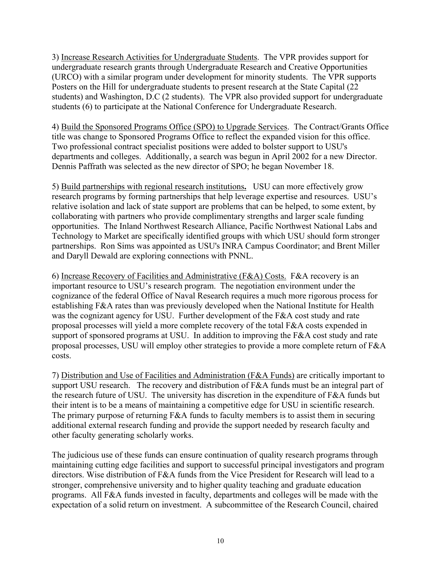3) Increase Research Activities for Undergraduate Students. The VPR provides support for undergraduate research grants through Undergraduate Research and Creative Opportunities (URCO) with a similar program under development for minority students. The VPR supports Posters on the Hill for undergraduate students to present research at the State Capital (22 students) and Washington, D.C (2 students). The VPR also provided support for undergraduate students (6) to participate at the National Conference for Undergraduate Research.

4) Build the Sponsored Programs Office (SPO) to Upgrade Services. The Contract/Grants Office title was change to Sponsored Programs Office to reflect the expanded vision for this office. Two professional contract specialist positions were added to bolster support to USU's departments and colleges. Additionally, a search was begun in April 2002 for a new Director. Dennis Paffrath was selected as the new director of SPO; he began November 18.

5) Build partnerships with regional research institutions**.** USU can more effectively grow research programs by forming partnerships that help leverage expertise and resources. USU's relative isolation and lack of state support are problems that can be helped, to some extent, by collaborating with partners who provide complimentary strengths and larger scale funding opportunities. The Inland Northwest Research Alliance, Pacific Northwest National Labs and Technology to Market are specifically identified groups with which USU should form stronger partnerships. Ron Sims was appointed as USU's INRA Campus Coordinator; and Brent Miller and Daryll Dewald are exploring connections with PNNL.

6) Increase Recovery of Facilities and Administrative (F&A) Costs. F&A recovery is an important resource to USU's research program. The negotiation environment under the cognizance of the federal Office of Naval Research requires a much more rigorous process for establishing F&A rates than was previously developed when the National Institute for Health was the cognizant agency for USU. Further development of the F&A cost study and rate proposal processes will yield a more complete recovery of the total F&A costs expended in support of sponsored programs at USU. In addition to improving the F&A cost study and rate proposal processes, USU will employ other strategies to provide a more complete return of F&A costs.

7) Distribution and Use of Facilities and Administration (F&A Funds) are critically important to support USU research.The recovery and distribution of F&A funds must be an integral part of the research future of USU. The university has discretion in the expenditure of F&A funds but their intent is to be a means of maintaining a competitive edge for USU in scientific research. The primary purpose of returning F&A funds to faculty members is to assist them in securing additional external research funding and provide the support needed by research faculty and other faculty generating scholarly works.

The judicious use of these funds can ensure continuation of quality research programs through maintaining cutting edge facilities and support to successful principal investigators and program directors. Wise distribution of F&A funds from the Vice President for Research will lead to a stronger, comprehensive university and to higher quality teaching and graduate education programs. All F&A funds invested in faculty, departments and colleges will be made with the expectation of a solid return on investment. A subcommittee of the Research Council, chaired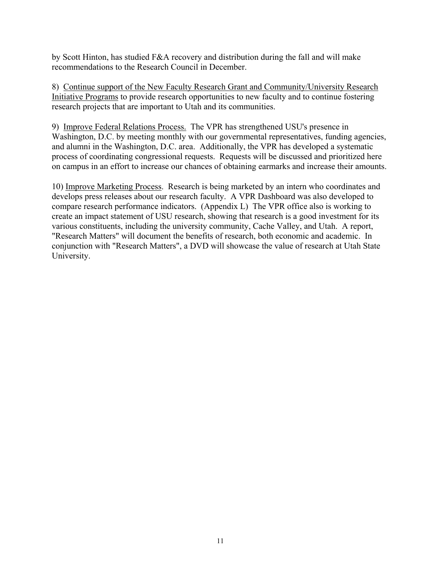by Scott Hinton, has studied F&A recovery and distribution during the fall and will make recommendations to the Research Council in December.

8) Continue support of the New Faculty Research Grant and Community/University Research Initiative Programs to provide research opportunities to new faculty and to continue fostering research projects that are important to Utah and its communities.

9)Improve Federal Relations Process. The VPR has strengthened USU's presence in Washington, D.C. by meeting monthly with our governmental representatives, funding agencies, and alumni in the Washington, D.C. area. Additionally, the VPR has developed a systematic process of coordinating congressional requests. Requests will be discussed and prioritized here on campus in an effort to increase our chances of obtaining earmarks and increase their amounts.

10) Improve Marketing Process. Research is being marketed by an intern who coordinates and develops press releases about our research faculty. A VPR Dashboard was also developed to compare research performance indicators. (Appendix L) The VPR office also is working to create an impact statement of USU research, showing that research is a good investment for its various constituents, including the university community, Cache Valley, and Utah. A report, "Research Matters" will document the benefits of research, both economic and academic. In conjunction with "Research Matters", a DVD will showcase the value of research at Utah State University.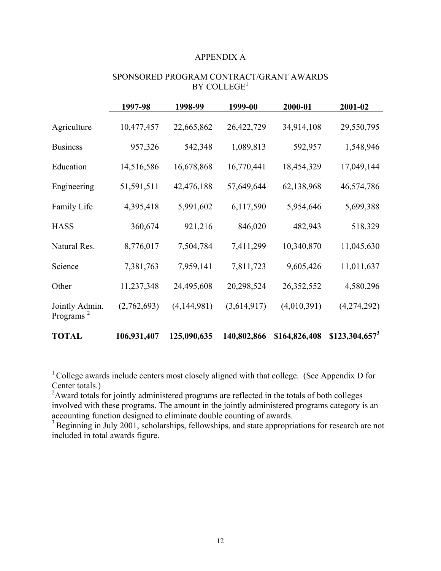#### APPENDIX A

| SPONSORED PROGRAM CONTRACT/GRANT AWARDS |
|-----------------------------------------|
| BY COLLEGE <sup>1</sup>                 |

|                                         | 1997-98     | 1998-99       | 1999-00     | 2000-01       | 2001-02          |
|-----------------------------------------|-------------|---------------|-------------|---------------|------------------|
| Agriculture                             | 10,477,457  | 22,665,862    | 26,422,729  | 34,914,108    | 29,550,795       |
| <b>Business</b>                         | 957,326     | 542,348       | 1,089,813   | 592,957       | 1,548,946        |
| Education                               | 14,516,586  | 16,678,868    | 16,770,441  | 18,454,329    | 17,049,144       |
| Engineering                             | 51,591,511  | 42,476,188    | 57,649,644  | 62,138,968    | 46,574,786       |
| Family Life                             | 4,395,418   | 5,991,602     | 6,117,590   | 5,954,646     | 5,699,388        |
| <b>HASS</b>                             | 360,674     | 921,216       | 846,020     | 482,943       | 518,329          |
| Natural Res.                            | 8,776,017   | 7,504,784     | 7,411,299   | 10,340,870    | 11,045,630       |
| Science                                 | 7,381,763   | 7,959,141     | 7,811,723   | 9,605,426     | 11,011,637       |
| Other                                   | 11,237,348  | 24,495,608    | 20,298,524  | 26, 352, 552  | 4,580,296        |
| Jointly Admin.<br>Programs <sup>2</sup> | (2,762,693) | (4, 144, 981) | (3,614,917) | (4,010,391)   | (4,274,292)      |
| <b>TOTAL</b>                            | 106,931,407 | 125,090,635   | 140,802,866 | \$164,826,408 | $$123,304,657^3$ |

<sup>1</sup> College awards include centers most closely aligned with that college. (See Appendix D for Center totals.)

 $2$ Award totals for jointly administered programs are reflected in the totals of both colleges involved with these programs. The amount in the jointly administered programs category is an accounting function designed to eliminate double counting of awards.

<sup>3</sup> Beginning in July 2001, scholarships, fellowships, and state appropriations for research are not included in total awards figure.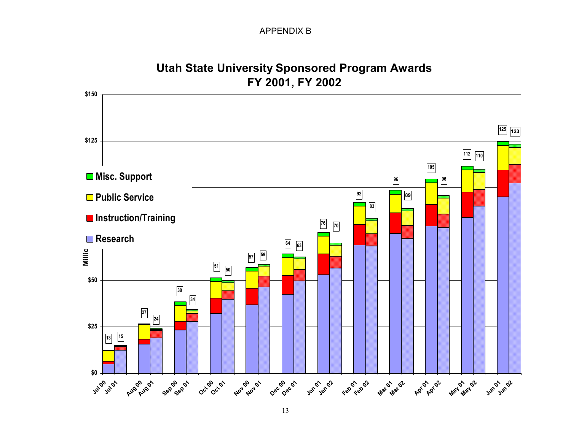## APPENDIX B



**Utah State University Sponsored Program Awards**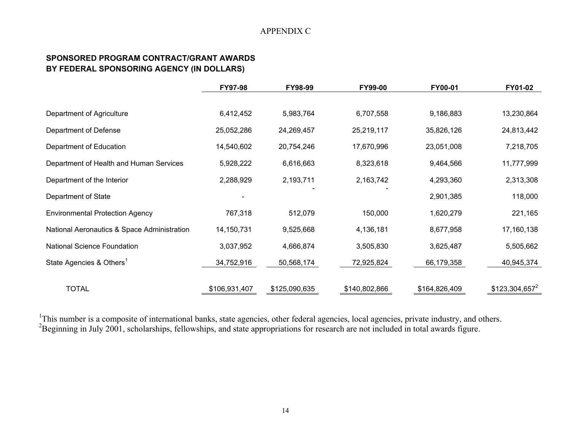#### APPENDIX C

## **SPONSORED PROGRAM CONTRACT/GRANT AWARDS BY FEDERAL SPONSORING AGENCY (IN DOLLARS)**

|                                             | FY97-98       | FY98-99       | FY99-00       | FY00-01       | FY01-02          |
|---------------------------------------------|---------------|---------------|---------------|---------------|------------------|
|                                             |               |               |               |               |                  |
| Department of Agriculture                   | 6,412,452     | 5,983,764     | 6,707,558     | 9,186,883     | 13,230,864       |
| Department of Defense                       | 25,052,286    | 24,269,457    | 25,219,117    | 35,826,126    | 24,813,442       |
| Department of Education                     | 14,540,602    | 20,754,246    | 17,670,996    | 23,051,008    | 7,218,705        |
| Department of Health and Human Services     | 5,928,222     | 6,616,663     | 8,323,618     | 9,464,566     | 11,777,999       |
| Department of the Interior                  | 2,288,929     | 2,193,711     | 2,163,742     | 4,293,360     | 2,313,308        |
| Department of State                         |               |               |               | 2,901,385     | 118,000          |
| <b>Environmental Protection Agency</b>      | 767,318       | 512,079       | 150,000       | 1,620,279     | 221,165          |
| National Aeronautics & Space Administration | 14,150,731    | 9,525,668     | 4,136,181     | 8,677,958     | 17,160,138       |
| <b>National Science Foundation</b>          | 3,037,952     | 4,666,874     | 3,505,830     | 3,625,487     | 5,505,662        |
| State Agencies & Others <sup>1</sup>        | 34,752,916    | 50,568,174    | 72,925,824    | 66,179,358    | 40,945,374       |
|                                             |               |               |               |               |                  |
| <b>TOTAL</b>                                | \$106,931,407 | \$125,090,635 | \$140,802,866 | \$164,826,409 | $$123,304,657^2$ |

<sup>1</sup>This number is a composite of international banks, state agencies, other federal agencies, local agencies, private industry, and others. <sup>2</sup>Beginning in July 2001, scholarships, fellowships, and state appropriations for research are not included in total awards figure.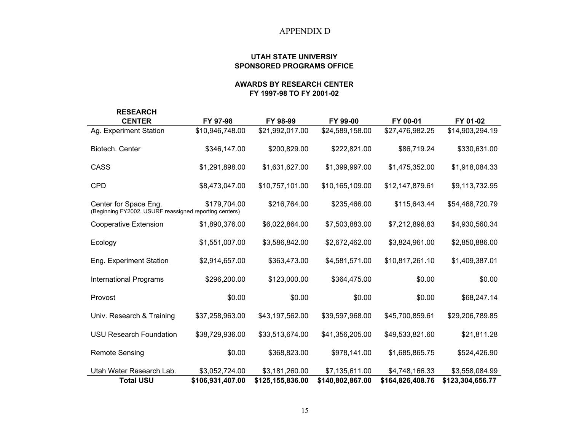#### APPENDIX D

#### **UTAH STATE UNIVERSIY SPONSORED PROGRAMS OFFICE**

#### **AWARDS BY RESEARCH CENTER FY 1997-98 TO FY 2001-02**

| <b>RESEARCH</b>                                                                 |                  |                  |                  |                  |                  |
|---------------------------------------------------------------------------------|------------------|------------------|------------------|------------------|------------------|
| <b>CENTER</b>                                                                   | FY 97-98         | FY 98-99         | FY 99-00         | FY 00-01         | FY 01-02         |
| Ag. Experiment Station                                                          | \$10,946,748.00  | \$21,992,017.00  | \$24,589,158.00  | \$27,476,982.25  | \$14,903,294.19  |
| Biotech. Center                                                                 | \$346,147.00     | \$200,829.00     | \$222,821.00     | \$86,719.24      | \$330,631.00     |
| CASS                                                                            | \$1,291,898.00   | \$1,631,627.00   | \$1,399,997.00   | \$1,475,352.00   | \$1,918,084.33   |
| <b>CPD</b>                                                                      | \$8,473,047.00   | \$10,757,101.00  | \$10,165,109.00  | \$12,147,879.61  | \$9,113,732.95   |
| Center for Space Eng.<br>(Beginning FY2002, USURF reassigned reporting centers) | \$179,704.00     | \$216,764.00     | \$235,466.00     | \$115,643.44     | \$54,468,720.79  |
| <b>Cooperative Extension</b>                                                    | \$1,890,376.00   | \$6,022,864.00   | \$7,503,883.00   | \$7,212,896.83   | \$4,930,560.34   |
| Ecology                                                                         | \$1,551,007.00   | \$3,586,842.00   | \$2,672,462.00   | \$3,824,961.00   | \$2,850,886.00   |
| Eng. Experiment Station                                                         | \$2,914,657.00   | \$363,473.00     | \$4,581,571.00   | \$10,817,261.10  | \$1,409,387.01   |
| <b>International Programs</b>                                                   | \$296,200.00     | \$123,000.00     | \$364,475.00     | \$0.00           | \$0.00           |
| Provost                                                                         | \$0.00           | \$0.00           | \$0.00           | \$0.00           | \$68,247.14      |
| Univ. Research & Training                                                       | \$37,258,963.00  | \$43,197,562.00  | \$39,597,968.00  | \$45,700,859.61  | \$29,206,789.85  |
| <b>USU Research Foundation</b>                                                  | \$38,729,936.00  | \$33,513,674.00  | \$41,356,205.00  | \$49,533,821.60  | \$21,811.28      |
| <b>Remote Sensing</b>                                                           | \$0.00           | \$368,823.00     | \$978,141.00     | \$1,685,865.75   | \$524,426.90     |
| Utah Water Research Lab.                                                        | \$3,052,724.00   | \$3,181,260.00   | \$7,135,611.00   | \$4,748,166.33   | \$3,558,084.99   |
| <b>Total USU</b>                                                                | \$106,931,407.00 | \$125,155,836.00 | \$140,802,867.00 | \$164,826,408.76 | \$123,304,656.77 |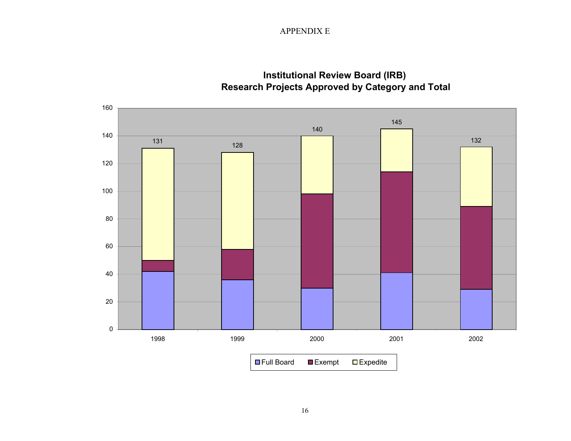APPENDIX E



# **Institutional Review Board (IRB) Research Projects Approved by Category and Total**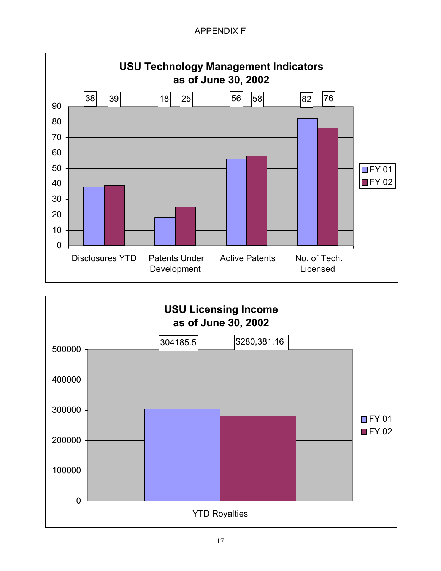# APPENDIX F



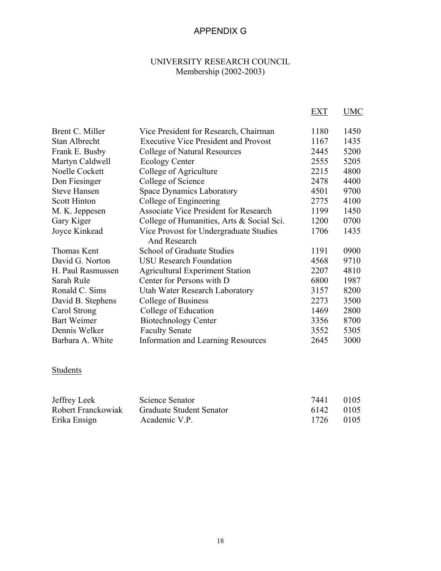# APPENDIX G

# UNIVERSITY RESEARCH COUNCIL Membership (2002-2003)

|                     |                                                        | EXT  | UMC  |
|---------------------|--------------------------------------------------------|------|------|
| Brent C. Miller     | Vice President for Research, Chairman                  | 1180 | 1450 |
| Stan Albrecht       | <b>Executive Vice President and Provost</b>            | 1167 | 1435 |
| Frank E. Busby      | <b>College of Natural Resources</b>                    | 2445 | 5200 |
| Martyn Caldwell     | <b>Ecology Center</b>                                  | 2555 | 5205 |
| Noelle Cockett      | College of Agriculture                                 | 2215 | 4800 |
| Don Fiesinger       | College of Science                                     | 2478 | 4400 |
| <b>Steve Hansen</b> | <b>Space Dynamics Laboratory</b>                       | 4501 | 9700 |
| <b>Scott Hinton</b> | College of Engineering                                 | 2775 | 4100 |
| M. K. Jeppesen      | <b>Associate Vice President for Research</b>           | 1199 | 1450 |
| Gary Kiger          | College of Humanities, Arts & Social Sci.              | 1200 | 0700 |
| Joyce Kinkead       | Vice Provost for Undergraduate Studies<br>And Research | 1706 | 1435 |
| Thomas Kent         | School of Graduate Studies                             | 1191 | 0900 |
| David G. Norton     | <b>USU</b> Research Foundation                         | 4568 | 9710 |
| H. Paul Rasmussen   | <b>Agricultural Experiment Station</b>                 | 2207 | 4810 |
| Sarah Rule          | Center for Persons with D                              | 6800 | 1987 |
| Ronald C. Sims      | Utah Water Research Laboratory                         | 3157 | 8200 |
| David B. Stephens   | College of Business                                    | 2273 | 3500 |
| Carol Strong        | College of Education                                   | 1469 | 2800 |
| <b>Bart Weimer</b>  | <b>Biotechnology Center</b>                            | 3356 | 8700 |
| Dennis Welker       | <b>Faculty Senate</b>                                  | 3552 | 5305 |
| Barbara A. White    | Information and Learning Resources                     | 2645 | 3000 |

# **Students**

| Jeffrey Leek       | Science Senator                 | 7441      | 0105 |
|--------------------|---------------------------------|-----------|------|
| Robert Franckowiak | <b>Graduate Student Senator</b> | 6142 0105 |      |
| Erika Ensign       | Academic V.P.                   | 1726 0105 |      |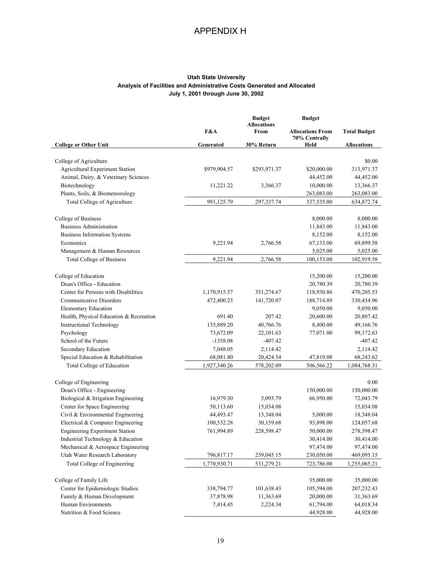# APPENDIX H

#### **Utah State University Analysis of Facilities and Administrative Costs Generated and Allocated July 1, 2001 through June 30, 2002**

|                                         |              | <b>Budget</b><br><b>Allocations</b> | <b>Budget</b>                            |                     |
|-----------------------------------------|--------------|-------------------------------------|------------------------------------------|---------------------|
|                                         | F&A          | From                                | <b>Allocations From</b><br>70% Centrally | <b>Total Budget</b> |
| <b>College or Other Unit</b>            | Generated    | 30% Return                          | Held                                     | <b>Allocations</b>  |
|                                         |              |                                     |                                          |                     |
| College of Agriculture                  |              |                                     |                                          | \$0.00              |
| Agricultural Experiment Station         | \$979,904.57 | \$293,971.37                        | \$20,000.00                              | 313,971.37          |
| Animal, Dairy, & Veterinary Sciences    |              |                                     | 44,452.00                                | 44,452.00           |
| Biotechnology                           | 11,221.22    | 3,366.37                            | 10,000.00                                | 13,366.37           |
| Plants, Soils, & Biometeorology         |              |                                     | 263,083.00                               | 263,083.00          |
| Total College of Agriculture            | 991,125.79   | 297,337.74                          | 337,535.00                               | 634,872.74          |
| College of Business                     |              |                                     | 8,000.00                                 | 8,000.00            |
| <b>Business Administration</b>          |              |                                     | 11,843.00                                | 11,843.00           |
| <b>Business Information Systems</b>     |              |                                     | 8,152.00                                 | 8,152.00            |
| Economics                               | 9,221.94     | 2,766.58                            | 67,133.00                                | 69,899.58           |
| Management & Human Resources            |              |                                     | 5,025.00                                 | 5,025.00            |
| <b>Total College of Business</b>        | 9,221.94     | 2,766.58                            | 100,153.00                               | 102,919.58          |
|                                         |              |                                     |                                          |                     |
| College of Education                    |              |                                     | 15,200.00                                | 15,200.00           |
| Dean's Office - Education               |              |                                     | 20,780.39                                | 20,780.39           |
| Center for Persons with Disabilities    | 1,170,915.57 | 351,274.67                          | 118,930.86                               | 470,205.53          |
| <b>Communicative Disorders</b>          | 472,400.23   | 141,720.07                          | 188,714.89                               | 330,434.96          |
| <b>Elementary Education</b>             |              |                                     | 9,050.00                                 | 9,050.00            |
| Health, Physical Education & Recreation | 691.40       | 207.42                              | 20,600.00                                | 20,807.42           |
| <b>Instructional Technology</b>         | 135,889.20   | 40,766.76                           | 8,400.00                                 | 49,166.76           |
| Psychology                              | 73,672.09    | 22,101.63                           | 77,071.00                                | 99,172.63           |
| School of the Future                    | $-1358.08$   | $-407.42$                           |                                          | $-407.42$           |
| Secondary Education                     | 7,048.05     | 2,114.42                            |                                          | 2,114.42            |
| Special Education & Rehabilitation      | 68,081.80    | 20,424.54                           | 47,819.08                                | 68,243.62           |
| Total College of Education              | 1,927,340.26 | 578,202.09                          | 506,566.22                               | 1,084,768.31        |
| College of Engineering                  |              |                                     |                                          | 0.00                |
| Dean's Office - Engineering             |              |                                     | 150,000.00                               | 150,000.00          |
| Biological & Irrigation Engineering     | 16,979.30    | 5,093.79                            | 66,950.00                                | 72,043.79           |
| Center for Space Engineering            | 50,113.60    | 15,034.08                           |                                          | 15,034.08           |
| Civil & Environmental Engineering       | 44,493.47    | 13,348.04                           | 5,000.00                                 | 18,348.04           |
| Electrical & Computer Engineering       | 100,532.28   | 30,159.68                           | 93,898.00                                | 124,057.68          |
| <b>Engineering Experiment Station</b>   | 761,994.89   | 228,598.47                          | 50,000.00                                | 278,598.47          |
| Industrial Technology & Education       |              |                                     | 30,414.00                                | 30,414.00           |
| Mechanical & Aerospace Engineering      |              |                                     | 97,474.00                                | 97,474.00           |
| Utah Water Research Laboratory          | 796,817.17   | 239,045.15                          | 230,050.00                               | 469,095.15          |
| Total College of Engineering            | 1,770,930.71 | 531,279.21                          | 723,786.00                               | 1,255,065.21        |
| College of Family Life                  |              |                                     | 35,000.00                                | 35,000.00           |
| Center for Epidemiologic Studies        | 338,794.77   | 101,638.43                          | 105,594.00                               | 207,232.43          |
| Family & Human Development              | 37,878.98    | 11,363.69                           | 20,000.00                                | 31,363.69           |
| Human Environments                      | 7,414.45     | 2,224.34                            | 61,794.00                                | 64,018.34           |
| Nutrition & Food Science                |              |                                     | 44,928.00                                | 44,928.00           |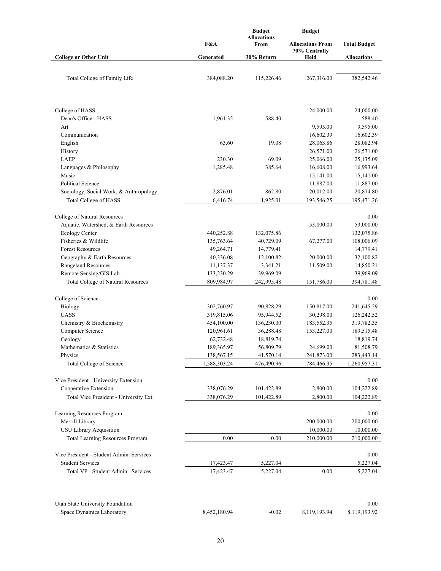|                                          |              | <b>Budget</b><br><b>Budget</b> |                                          |                     |
|------------------------------------------|--------------|--------------------------------|------------------------------------------|---------------------|
|                                          | F&A          | <b>Allocations</b><br>From     | <b>Allocations From</b><br>70% Centrally | <b>Total Budget</b> |
| <b>College or Other Unit</b>             | Generated    | 30% Return                     | Held                                     | <b>Allocations</b>  |
|                                          |              |                                |                                          |                     |
| Total College of Family Life             | 384,088.20   | 115,226.46                     | 267,316.00                               | 382,542.46          |
|                                          |              |                                |                                          |                     |
| College of HASS                          |              |                                | 24,000.00                                | 24,000.00           |
| Dean's Office - HASS                     | 1,961.35     | 588.40                         |                                          | 588.40              |
| Art                                      |              |                                | 9,595.00                                 | 9,595.00            |
| Communication                            |              |                                | 16,602.39                                | 16,602.39           |
| English                                  | 63.60        | 19.08                          | 28,063.86                                | 28,082.94           |
| History                                  |              |                                | 26,571.00                                | 26,571.00           |
| <b>LAEP</b>                              | 230.30       | 69.09                          | 25,066.00                                | 25,135.09           |
| Languages & Philosophy                   | 1,285.48     | 385.64                         | 16,608.00                                | 16,993.64           |
| Music                                    |              |                                | 15,141.00                                | 15,141.00           |
| <b>Political Science</b>                 |              |                                | 11,887.00                                | 11,887.00           |
| Sociology, Social Work, & Anthropology   | 2,876.01     | 862.80                         | 20,012.00                                | 20,874.80           |
| <b>Total College of HASS</b>             | 6,416.74     | 1,925.01                       | 193,546.25                               | 195,471.26          |
| College of Natural Resources             |              |                                |                                          | 0.00                |
| Aquatic, Watershed, & Earth Resources    |              |                                | 53,000.00                                | 53,000.00           |
| Ecology Center                           | 440,252.88   | 132,075.86                     |                                          | 132,075.86          |
| Fisheries & Wildlife                     | 135,763.64   | 40,729.09                      | 67,277.00                                | 108,006.09          |
| <b>Forest Resources</b>                  | 49,264.71    | 14,779.41                      |                                          | 14,779.41           |
| Geography & Earth Resources              | 40,336.08    | 12,100.82                      | 20,000.00                                | 32,100.82           |
| Rangeland Resources                      | 11,137.37    | 3,341.21                       | 11,509.00                                | 14,850.21           |
| Remote Sensing/GIS Lab                   | 133,230.29   | 39,969.09                      |                                          | 39,969.09           |
| Total College of Natural Resources       | 809,984.97   | 242,995.48                     | 151,786.00                               | 394,781.48          |
| College of Science                       |              |                                |                                          | 0.00                |
| <b>Biology</b>                           | 302,760.97   | 90,828.29                      | 150,817.00                               | 241,645.29          |
| CASS                                     | 319,815.06   | 95,944.52                      | 30,298.00                                | 126,242.52          |
| Chemistry & Biochemistry                 | 454,100.00   | 136,230.00                     | 183,552.35                               | 319,782.35          |
| Computer Science                         | 120,961.61   | 36,288.48                      | 153,227.00                               | 189,515.48          |
| Geology                                  | 62,732.48    | 18,819.74                      |                                          | 18,819.74           |
| Mathematics & Statistics                 | 189,365.97   | 56,809.79                      | 24,699.00                                | 81,508.79           |
| Physics                                  | 138,567.15   | 41,570.14                      | 241,873.00                               | 283,443.14          |
| Total College of Science                 | 1,588,303.24 | 476,490.96                     | 784,466.35                               | 1,260,957.31        |
| Vice President - University Extension    |              |                                |                                          | 0.00                |
| Cooperative Extension                    | 338,076.29   | 101,422.89                     | 2,800.00                                 | 104,222.89          |
| Total Vice President - University Ext.   | 338,076.29   | 101,422.89                     | 2,800.00                                 | 104,222.89          |
|                                          |              |                                |                                          |                     |
| Learning Resources Program               |              |                                |                                          | 0.00                |
| Merrill Library                          |              |                                | 200,000.00                               | 200,000.00          |
| USU Library Acquisition                  |              |                                | 10,000.00                                | 10,000.00           |
| <b>Total Learning Resources Program</b>  | 0.00         | 0.00                           | 210,000.00                               | 210,000.00          |
|                                          |              |                                |                                          |                     |
| Vice President - Student Admin. Services |              |                                |                                          | 0.00                |
| <b>Student Services</b>                  | 17,423.47    | 5,227.04                       |                                          | 5,227.04            |
| Total VP - Student Admin. Services       | 17,423.47    | 5,227.04                       | 0.00                                     | 5,227.04            |
| Utah State University Foundation         |              |                                |                                          | 0.00                |
| Space Dynamics Laboratory                | 8,452,180.94 | $-0.02$                        | 8,119,193.94                             | 8,119,193.92        |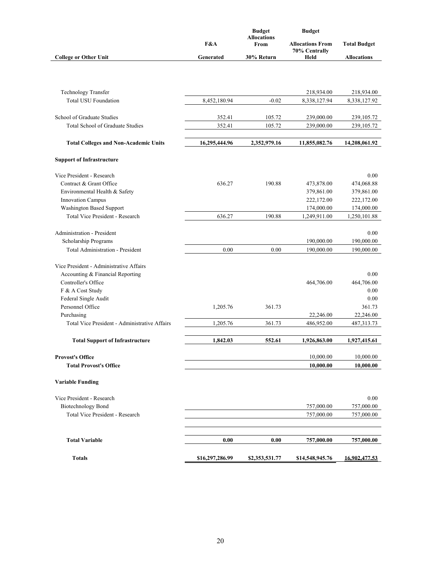|                                               |                 | <b>Budget</b>              | <b>Budget</b>           |                     |  |
|-----------------------------------------------|-----------------|----------------------------|-------------------------|---------------------|--|
|                                               | F&A             | <b>Allocations</b><br>From | <b>Allocations From</b> | <b>Total Budget</b> |  |
|                                               |                 |                            | 70% Centrally           |                     |  |
| <b>College or Other Unit</b>                  | Generated       | 30% Return                 | Held                    | <b>Allocations</b>  |  |
|                                               |                 |                            |                         |                     |  |
|                                               |                 |                            |                         |                     |  |
|                                               |                 |                            |                         |                     |  |
| <b>Technology Transfer</b>                    |                 |                            | 218,934.00              | 218,934.00          |  |
| <b>Total USU Foundation</b>                   | 8,452,180.94    | $-0.02$                    | 8,338,127.94            | 8,338,127.92        |  |
|                                               |                 |                            |                         |                     |  |
| School of Graduate Studies                    | 352.41          | 105.72                     | 239,000.00              | 239,105.72          |  |
| Total School of Graduate Studies              | 352.41          | 105.72                     | 239,000.00              | 239,105.72          |  |
| <b>Total Colleges and Non-Academic Units</b>  | 16,295,444.96   | 2,352,979.16               | 11,855,082.76           | 14,208,061.92       |  |
|                                               |                 |                            |                         |                     |  |
| <b>Support of Infrastructure</b>              |                 |                            |                         |                     |  |
| Vice President - Research                     |                 |                            |                         | 0.00                |  |
| Contract & Grant Office                       | 636.27          | 190.88                     | 473,878.00              | 474,068.88          |  |
| Environmental Health & Safety                 |                 |                            | 379,861.00              | 379,861.00          |  |
| <b>Innovation Campus</b>                      |                 |                            | 222,172.00              | 222,172.00          |  |
| Washington Based Support                      |                 |                            | 174,000.00              | 174,000.00          |  |
| Total Vice President - Research               | 636.27          | 190.88                     | 1,249,911.00            | 1,250,101.88        |  |
|                                               |                 |                            |                         |                     |  |
| Administration - President                    |                 |                            |                         | 0.00                |  |
| Scholarship Programs                          |                 |                            | 190,000.00              | 190,000.00          |  |
| <b>Total Administration - President</b>       | 0.00            | 0.00                       | 190,000.00              | 190,000.00          |  |
|                                               |                 |                            |                         |                     |  |
| Vice President - Administrative Affairs       |                 |                            |                         |                     |  |
| Accounting & Financial Reporting              |                 |                            |                         | 0.00                |  |
| Controller's Office                           |                 |                            | 464,706.00              | 464,706.00          |  |
| F & A Cost Study                              |                 |                            |                         | 0.00                |  |
| Federal Single Audit                          |                 |                            |                         | 0.00                |  |
| Personnel Office                              | 1,205.76        | 361.73                     |                         | 361.73              |  |
| Purchasing                                    |                 |                            | 22,246.00               | 22,246.00           |  |
| Total Vice President - Administrative Affairs | 1,205.76        | 361.73                     | 486,952.00              | 487,313.73          |  |
| <b>Total Support of Infrastructure</b>        | 1,842.03        | 552.61                     | 1,926,863.00            | 1,927,415.61        |  |
|                                               |                 |                            |                         |                     |  |
| <b>Provost's Office</b>                       |                 |                            | 10,000.00               | 10,000.00           |  |
| <b>Total Provost's Office</b>                 |                 |                            | 10,000.00               | 10,000.00           |  |
|                                               |                 |                            |                         |                     |  |
| <b>Variable Funding</b>                       |                 |                            |                         |                     |  |
| Vice President - Research                     |                 |                            |                         | 0.00                |  |
| <b>Biotechnology Bond</b>                     |                 |                            | 757,000.00              | 757,000.00          |  |
| Total Vice President - Research               |                 |                            | 757,000.00              | 757,000.00          |  |
|                                               |                 |                            |                         |                     |  |
|                                               |                 |                            |                         |                     |  |
| <b>Total Variable</b>                         | 0.00            | 0.00                       | 757,000.00              | 757,000.00          |  |
|                                               |                 |                            |                         |                     |  |
| <b>Totals</b>                                 | \$16,297,286.99 | \$2,353,531.77             | \$14,548,945.76         | 16,902,477.53       |  |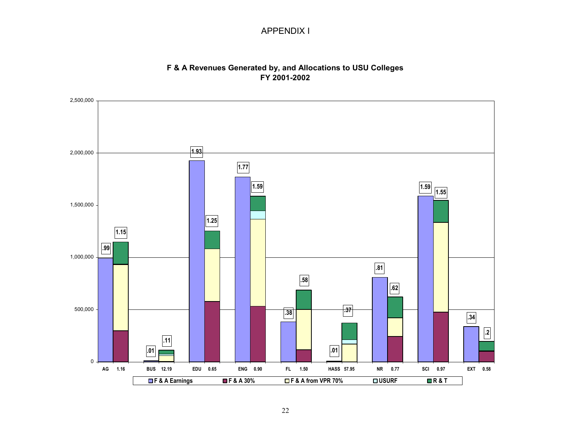### APPENDIX I

### **F & A Revenues Generated by, and Allocations to USU Colleges FY 2001-2002**

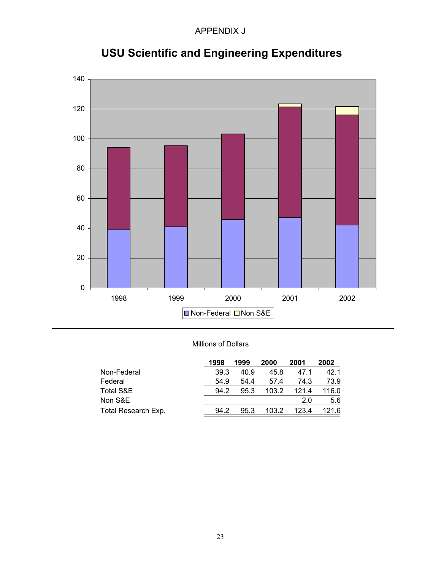

#### Millions of Dollars

|                     | 1998 | 1999 | 2000  | 2001  | 2002  |
|---------------------|------|------|-------|-------|-------|
| Non-Federal         | 39.3 | 40.9 | 45.8  | 47.1  | 42.1  |
| Federal             | 54.9 | 54.4 | 57.4  | 74.3  | 73.9  |
| Total S&E           | 94.2 | 95.3 | 103.2 | 121.4 | 116.0 |
| Non S&E             |      |      |       | 2.0   | 5.6   |
| Total Research Exp. | 94.2 | 95.3 | 103.2 | 123.4 | 121.6 |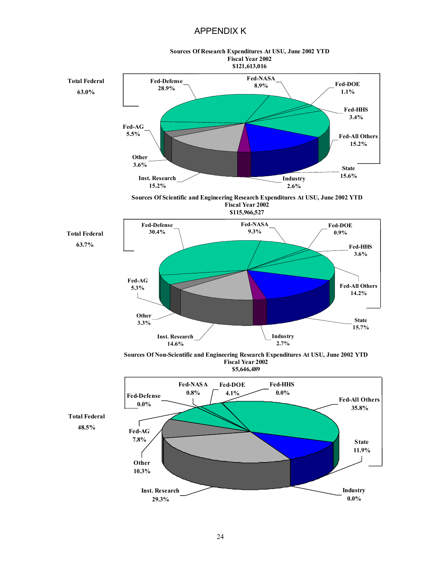#### APPENDIX K



24